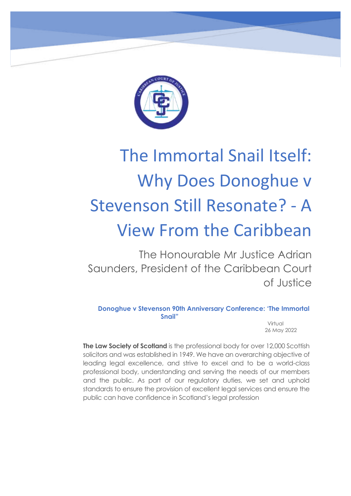

## The Immortal Snail Itself: Why Does Donoghue v Stevenson Still Resonate? - A View From the Caribbean

The Honourable Mr Justice Adrian Saunders, President of the Caribbean Court of Justice

**Donoghue v Stevenson 90th Anniversary Conference: 'The Immortal Snail"**

 Virtual 26 May 2022

**The Law Society of Scotland** is the professional body for over 12,000 Scottish solicitors and was established in 1949. We have an overarching objective of leading legal excellence, and strive to excel and to be a world-class professional body, understanding and serving the needs of our members and the public. As part of our regulatory duties, we set and uphold standards to ensure the provision of excellent legal services and ensure the public can have confidence in Scotland's legal profession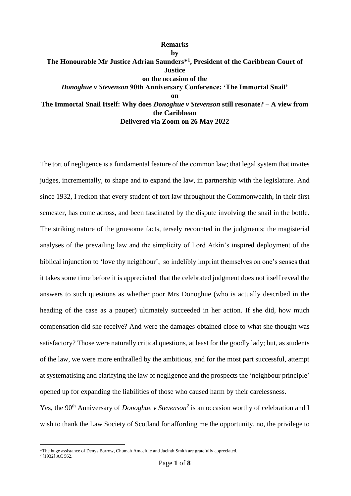## **Remarks by The Honourable Mr Justice Adrian Saunders\* 1 , President of the Caribbean Court of Justice on the occasion of the** *Donoghue v Stevenson* **90th Anniversary Conference: 'The Immortal Snail' on The Immortal Snail Itself: Why does** *Donoghue v Stevenson* **still resonate? – A view from the Caribbean**

**Delivered via Zoom on 26 May 2022**

The tort of negligence is a fundamental feature of the common law; that legal system that invites judges, incrementally, to shape and to expand the law, in partnership with the legislature. And since 1932, I reckon that every student of tort law throughout the Commonwealth, in their first semester, has come across, and been fascinated by the dispute involving the snail in the bottle. The striking nature of the gruesome facts, tersely recounted in the judgments; the magisterial analyses of the prevailing law and the simplicity of Lord Atkin's inspired deployment of the biblical injunction to 'love thy neighbour', so indelibly imprint themselves on one's senses that it takes some time before it is appreciated that the celebrated judgment does not itself reveal the answers to such questions as whether poor Mrs Donoghue (who is actually described in the heading of the case as a pauper) ultimately succeeded in her action. If she did, how much compensation did she receive? And were the damages obtained close to what she thought was satisfactory? Those were naturally critical questions, at least for the goodly lady; but, as students of the law, we were more enthralled by the ambitious, and for the most part successful, attempt at systematising and clarifying the law of negligence and the prospects the 'neighbour principle' opened up for expanding the liabilities of those who caused harm by their carelessness.

Yes, the 90<sup>th</sup> Anniversary of *Donoghue v Stevenson*<sup>2</sup> is an occasion worthy of celebration and I wish to thank the Law Society of Scotland for affording me the opportunity, no, the privilege to

<sup>\*</sup>The huge assistance of Denys Barrow, Chumah Amaefule and Jacinth Smith are gratefully appreciated.

<sup>2</sup> [1932] AC 562.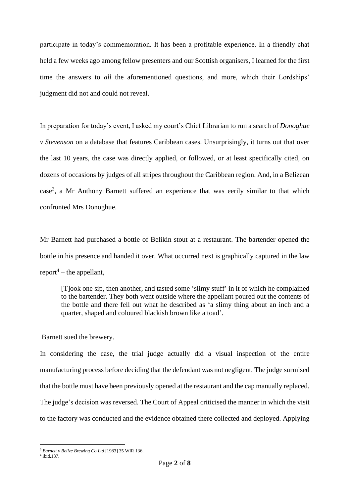participate in today's commemoration. It has been a profitable experience. In a friendly chat held a few weeks ago among fellow presenters and our Scottish organisers, I learned for the first time the answers to *all* the aforementioned questions, and more, which their Lordships' judgment did not and could not reveal.

In preparation for today's event, I asked my court's Chief Librarian to run a search of *Donoghue v Stevenson* on a database that features Caribbean cases. Unsurprisingly, it turns out that over the last 10 years, the case was directly applied, or followed, or at least specifically cited, on dozens of occasions by judges of all stripes throughout the Caribbean region. And, in a Belizean  $case<sup>3</sup>$ , a Mr Anthony Barnett suffered an experience that was eerily similar to that which confronted Mrs Donoghue.

Mr Barnett had purchased a bottle of Belikin stout at a restaurant. The bartender opened the bottle in his presence and handed it over. What occurred next is graphically captured in the law  $report<sup>4</sup> – the appellant,$ 

[T]ook one sip, then another, and tasted some 'slimy stuff' in it of which he complained to the bartender. They both went outside where the appellant poured out the contents of the bottle and there fell out what he described as 'a slimy thing about an inch and a quarter, shaped and coloured blackish brown like a toad'.

## Barnett sued the brewery.

In considering the case, the trial judge actually did a visual inspection of the entire manufacturing process before deciding that the defendant was not negligent. The judge surmised that the bottle must have been previously opened at the restaurant and the cap manually replaced. The judge's decision was reversed. The Court of Appeal criticised the manner in which the visit to the factory was conducted and the evidence obtained there collected and deployed. Applying

<sup>3</sup> *Barnett v Belize Brewing Co Ltd* [1983] 35 WIR 136.

<sup>4</sup> ibid,137.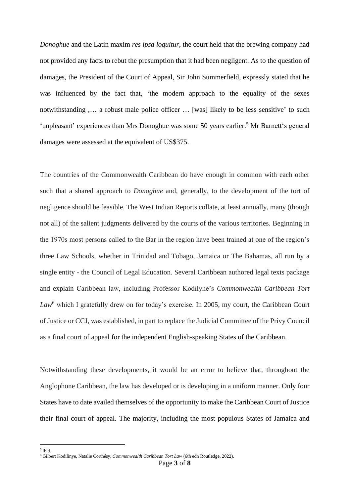*Donoghue* and the Latin maxim *res ipsa loquitur*, the court held that the brewing company had not provided any facts to rebut the presumption that it had been negligent. As to the question of damages, the President of the Court of Appeal, Sir John Summerfield, expressly stated that he was influenced by the fact that, 'the modern approach to the equality of the sexes notwithstanding ,… a robust male police officer … [was] likely to be less sensitive' to such 'unpleasant' experiences than Mrs Donoghue was some 50 years earlier.<sup>5</sup> Mr Barnett's general damages were assessed at the equivalent of US\$375.

The countries of the Commonwealth Caribbean do have enough in common with each other such that a shared approach to *Donoghue* and, generally, to the development of the tort of negligence should be feasible. The West Indian Reports collate, at least annually, many (though not all) of the salient judgments delivered by the courts of the various territories. Beginning in the 1970s most persons called to the Bar in the region have been trained at one of the region's three Law Schools, whether in Trinidad and Tobago, Jamaica or The Bahamas, all run by a single entity - the Council of Legal Education. Several Caribbean authored legal texts package and explain Caribbean law, including Professor Kodilyne's *Commonwealth Caribbean Tort*  Law<sup>6</sup> which I gratefully drew on for today's exercise. In 2005, my court, the Caribbean Court of Justice or CCJ, was established, in part to replace the Judicial Committee of the Privy Council as a final court of appeal for the independent English-speaking States of the Caribbean.

Notwithstanding these developments, it would be an error to believe that, throughout the Anglophone Caribbean, the law has developed or is developing in a uniform manner. Only four States have to date availed themselves of the opportunity to make the Caribbean Court of Justice their final court of appeal. The majority, including the most populous States of Jamaica and

5 ibid.

<sup>6</sup> Gilbert Kodilinye, Natalie Corthésy, *Commonwealth Caribbean Tort Law* (6th edn Routledge, 2022).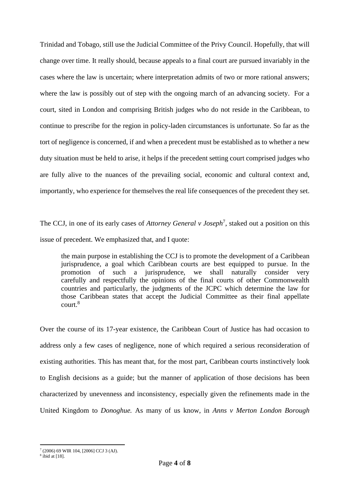Trinidad and Tobago, still use the Judicial Committee of the Privy Council. Hopefully, that will change over time. It really should, because appeals to a final court are pursued invariably in the cases where the law is uncertain; where interpretation admits of two or more rational answers; where the law is possibly out of step with the ongoing march of an advancing society. For a court, sited in London and comprising British judges who do not reside in the Caribbean, to continue to prescribe for the region in policy-laden circumstances is unfortunate. So far as the tort of negligence is concerned, if and when a precedent must be established as to whether a new duty situation must be held to arise, it helps if the precedent setting court comprised judges who are fully alive to the nuances of the prevailing social, economic and cultural context and, importantly, who experience for themselves the real life consequences of the precedent they set.

The CCJ, in one of its early cases of *Attorney General v Joseph*<sup>7</sup> , staked out a position on this issue of precedent. We emphasized that, and I quote:

the main purpose in establishing the CCJ is to promote the development of a Caribbean jurisprudence, a goal which Caribbean courts are best equipped to pursue. In the promotion of such a jurisprudence, we shall naturally consider very carefully and respectfully the opinions of the final courts of other Commonwealth countries and particularly, the judgments of the JCPC which determine the law for those Caribbean states that accept the Judicial Committee as their final appellate court.<sup>8</sup>

Over the course of its 17-year existence, the Caribbean Court of Justice has had occasion to address only a few cases of negligence, none of which required a serious reconsideration of existing authorities. This has meant that, for the most part, Caribbean courts instinctively look to English decisions as a guide; but the manner of application of those decisions has been characterized by unevenness and inconsistency, especially given the refinements made in the United Kingdom to *Donoghue.* As many of us know, in *Anns v Merton London Borough* 

<sup>7</sup> (2006) 69 WIR 104, [2006] CCJ 3 (AJ).

<sup>8</sup> ibid at [18].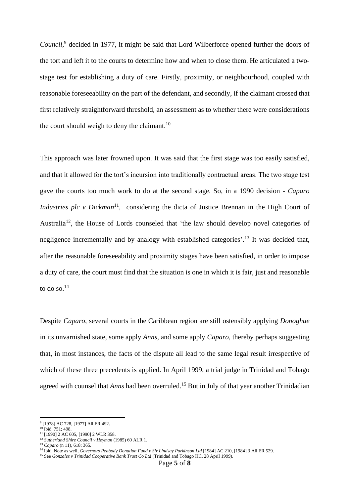*Council,*<sup>9</sup> decided in 1977, it might be said that Lord Wilberforce opened further the doors of the tort and left it to the courts to determine how and when to close them. He articulated a twostage test for establishing a duty of care. Firstly, proximity, or neighbourhood, coupled with reasonable foreseeability on the part of the defendant, and secondly, if the claimant crossed that first relatively straightforward threshold, an assessment as to whether there were considerations the court should weigh to deny the claimant.<sup>10</sup>

This approach was later frowned upon. It was said that the first stage was too easily satisfied, and that it allowed for the tort's incursion into traditionally contractual areas. The two stage test gave the courts too much work to do at the second stage. So, in a 1990 decision - *Caparo Industries plc v Dickman*<sup>11</sup>, considering the dicta of Justice Brennan in the High Court of Australia<sup>12</sup>, the House of Lords counseled that 'the law should develop novel categories of negligence incrementally and by analogy with established categories'.<sup>13</sup> It was decided that, after the reasonable foreseeability and proximity stages have been satisfied, in order to impose a duty of care, the court must find that the situation is one in which it is fair, just and reasonable to do so. $^{14}$ 

Despite *Caparo*, several courts in the Caribbean region are still ostensibly applying *Donoghue* in its unvarnished state, some apply *Anns,* and some apply *Caparo*, thereby perhaps suggesting that, in most instances, the facts of the dispute all lead to the same legal result irrespective of which of these three precedents is applied. In April 1999, a trial judge in Trinidad and Tobago agreed with counsel that *Anns* had been overruled.<sup>15</sup> But in July of that year another Trinidadian

<sup>9</sup> [1978] AC 728, [1977] All ER 492.

 $10$  ibid, 751; 498.

<sup>&</sup>lt;sup>11</sup> [1990] 2 AC 605, [1990] 2 WLR 358.

<sup>12</sup> *Sutherland Shire Council v Heyman* (1985) 60 ALR 1.

<sup>13</sup> *Caparo* (n 11), 618; 365.

<sup>&</sup>lt;sup>14</sup> ibid. Note as well, *Governors Peabody Donation Fund v Sir Lindsay Parkinson Ltd* [1984] AC 210, [1984] 3 All ER 529.

<sup>15</sup> See *Gonzales v Trinidad Cooperative Bank Trust Co Ltd* (Trinidad and Tobago HC, 28 April 1999).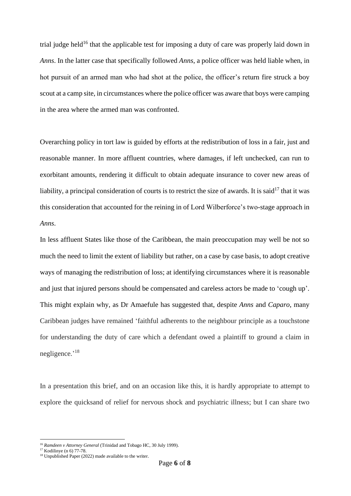trial judge held<sup>16</sup> that the applicable test for imposing a duty of care was properly laid down in *Anns*. In the latter case that specifically followed *Anns*, a police officer was held liable when, in hot pursuit of an armed man who had shot at the police, the officer's return fire struck a boy scout at a camp site, in circumstances where the police officer was aware that boys were camping in the area where the armed man was confronted.

Overarching policy in tort law is guided by efforts at the redistribution of loss in a fair, just and reasonable manner. In more affluent countries, where damages, if left unchecked, can run to exorbitant amounts, rendering it difficult to obtain adequate insurance to cover new areas of liability, a principal consideration of courts is to restrict the size of awards. It is said<sup>17</sup> that it was this consideration that accounted for the reining in of Lord Wilberforce's two-stage approach in *Anns*.

In less affluent States like those of the Caribbean, the main preoccupation may well be not so much the need to limit the extent of liability but rather, on a case by case basis, to adopt creative ways of managing the redistribution of loss; at identifying circumstances where it is reasonable and just that injured persons should be compensated and careless actors be made to 'cough up'. This might explain why, as Dr Amaefule has suggested that, despite *Anns* and *Caparo*, many Caribbean judges have remained 'faithful adherents to the neighbour principle as a touchstone for understanding the duty of care which a defendant owed a plaintiff to ground a claim in negligence.'<sup>18</sup>

In a presentation this brief, and on an occasion like this, it is hardly appropriate to attempt to explore the quicksand of relief for nervous shock and psychiatric illness; but I can share two

<sup>16</sup> *Ramdeen v Attorney General* (Trinidad and Tobago HC, 30 July 1999).

 $17$  Kodilinye (n 6) 77-78.

<sup>18</sup> Unpublished Paper (2022) made available to the writer.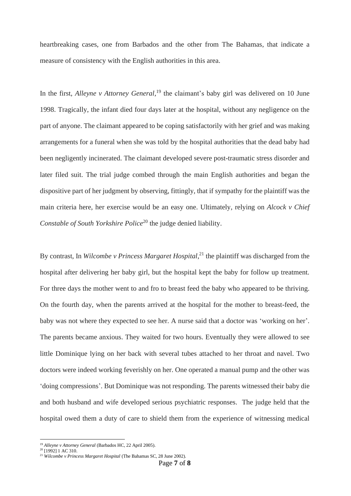heartbreaking cases, one from Barbados and the other from The Bahamas, that indicate a measure of consistency with the English authorities in this area.

In the first, *Alleyne v Attorney General*, <sup>19</sup> the claimant's baby girl was delivered on 10 June 1998. Tragically, the infant died four days later at the hospital, without any negligence on the part of anyone. The claimant appeared to be coping satisfactorily with her grief and was making arrangements for a funeral when she was told by the hospital authorities that the dead baby had been negligently incinerated. The claimant developed severe post-traumatic stress disorder and later filed suit. The trial judge combed through the main English authorities and began the dispositive part of her judgment by observing, fittingly, that if sympathy for the plaintiff was the main criteria here, her exercise would be an easy one. Ultimately, relying on *Alcock v Chief Constable of South Yorkshire Police*<sup>20</sup> the judge denied liability.

By contrast, In *Wilcombe v Princess Margaret Hospital*, <sup>21</sup> the plaintiff was discharged from the hospital after delivering her baby girl, but the hospital kept the baby for follow up treatment. For three days the mother went to and fro to breast feed the baby who appeared to be thriving. On the fourth day, when the parents arrived at the hospital for the mother to breast-feed, the baby was not where they expected to see her. A nurse said that a doctor was 'working on her'. The parents became anxious. They waited for two hours. Eventually they were allowed to see little Dominique lying on her back with several tubes attached to her throat and navel. Two doctors were indeed working feverishly on her. One operated a manual pump and the other was 'doing compressions'. But Dominique was not responding. The parents witnessed their baby die and both husband and wife developed serious psychiatric responses. The judge held that the hospital owed them a duty of care to shield them from the experience of witnessing medical

<sup>19</sup> *Alleyne v Attorney General* (Barbados HC, 22 April 2005).

<sup>&</sup>lt;sup>20</sup> [1992] 1 AC 310.

<sup>21</sup> *Wilcombe v Princess Margaret Hospital* (The Bahamas SC, 28 June 2002).